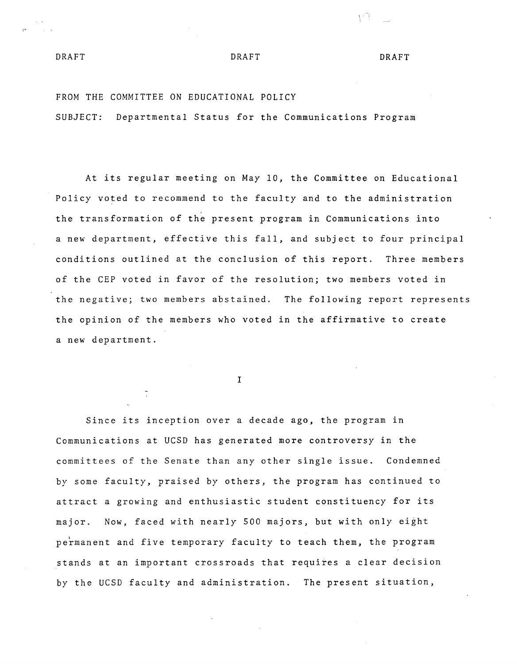## DRAFT DRAFT DRAFT DRAFT

) 우리

## FROM THE COMMITTEE ON EDUCATIONAL POLICY

SUBJECT: Departmental Status for the Communications Program

At its regular meeting on May 10, the Committee on Educational Policy voted to recommend to the faculty and to the administration the transformation of the present program in Communications into a new department, effective this fall, and subject to four principal conditions outlined at the conclusion of this report. Three members of the CEP voted in favor of the resolution; two members voted in the negative; two members abstained. The following report represents the opinion of the members who voted in the affirmative to create a new department.

I

Since its inception over a decade ago, the program in Communications at UCSD has generated more controversy in the committees of the Senate than any other single issue. Condemned by some faculty, praised by others, the program has continued to attract a growing and enthusiastic student constituency for its major. Now, faced with nearly 500 majors, but with only eight permanent and five temporary faculty to teach them, the program stands at an important crossroads that requires a clear decision by the UCSD faculty and administration. The present situation,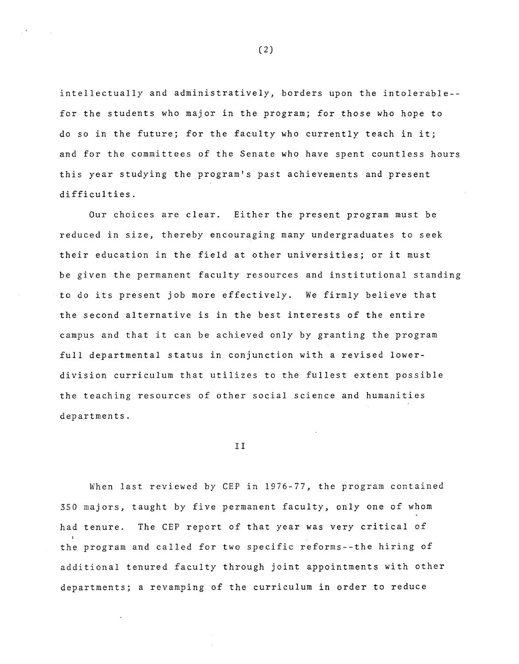intellectually and administratively, borders upon the intolerable- for the students who major in the program; for those who hope to do so in the future; for the faculty who currently teach in it; and for the committees of the Senate who have spent countless hours this year studying the program's past achievements and present difficulties.

Our choices are clear. Either the present program must be reduced in size, thereby encouraging many undergraduates to seek their education in the field at other universities; or it must be given the permanent faculty resources and institutional standing to do its present job more effectively. We firmly believe that the second alternative is in the best interests of the entire campus and that it can be achieved only by granting the program full departmental status in conjunction with a revised lowerdivision curriculum that utilizes to the fullest extent possible the teaching resources of other social science and humanities departments.

II

When last reviewed by CEP in 1976-77, the program contained 350 majors, taught by five permanent faculty, only one of whom had tenure. The CEP report of that year was very critical of the program and called for two specific reforms--the hiring of additional tenured faculty through joint appointments with other departments; a revamping of the curriculum in order to reduce

(2)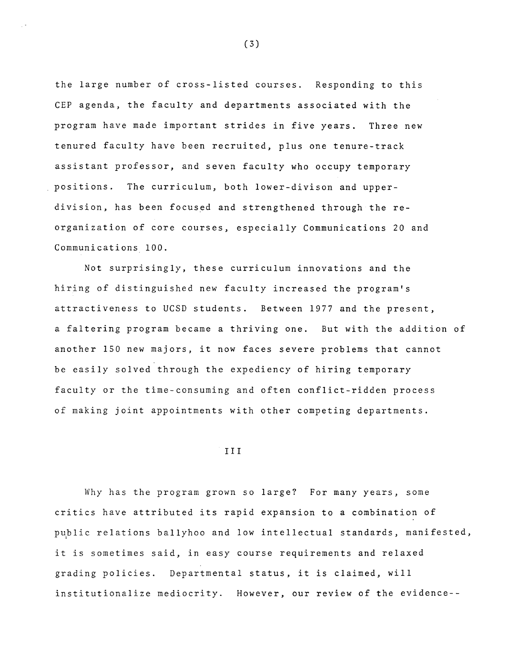the large number of cross-listed courses. Responding to this CEP agenda, the faculty and departments associated with the program have made important strides in five years. Three new tenured faculty have been recruited, plus one tenure-track assistant professor, and seven faculty who occupy temporary positions. The curriculum, both lower-divison and upperdivision, has been focused and strengthened through the reorganization of core courses, especially Communications 20 and Communications 100.

Not surprisingly, these curriculum innovations and the hiring of distinguished new faculty increased the program's attractiveness to UCSD students. Between 1977 and the present, a faltering program became a thriving one. But with the addition of another 150 new majors, it now faces severe problems that cannot be easily solved through the expediency of hiring temporary faculty or the time-consuming and often conflict-ridden process of making joint appointments with other competing departments.

## III

Why has the program grown so large? For many years, some critics have attributed its rapid expansion to a combination of public relations ballyhoo and low intellectual standards, manifested, it is sometimes said, in easy course requirements and relaxed grading policies. Departmental status, it is claimed, will institutionalize mediocrity. However, our review of the evidence--

(3)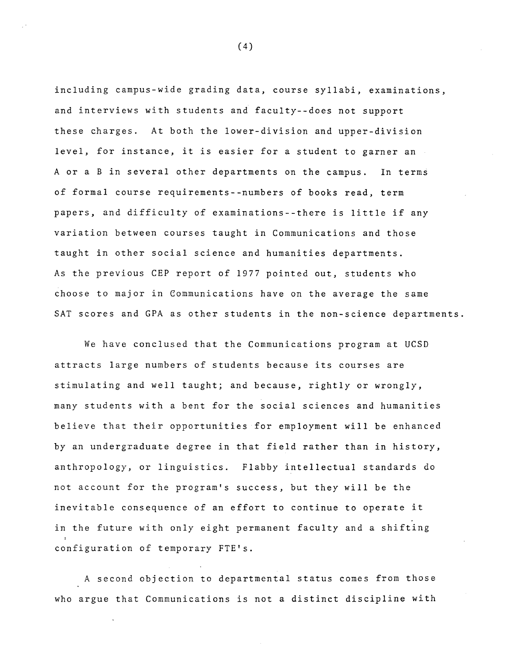including campus-wide grading data, course syllabi, examinations, and interviews with students and faculty--does not support these charges. At both the lower-division and upper-division level, for instance, it is easier for a student to garner an A or a Bin several other departments on the campus. In terms of formal course requirements--numbers of books read, term papers, and difficulty of examinations--there is little if any variation between courses taught in Communications and those taught in other social science and humanities departments. As the previous CEP report of 1977 pointed out, students who choose to major in Communications have on the average the same SAT scores and GPA as other students in the non-science departments.

We have conclused that the Communications program at UCSD attracts large numbers of students because its courses are stimulating and well taught; and because, rightly or wrongly, many students with a bent for the social sciences and humanities believe that their opportunities for employment will be enhanced by an undergraduate degree in that field rather than in history, anthropology, or linguistics. Flabby intellectual standards do not account for the program's success, but they will be the inevitable consequence of an effort to continue to operate it in the future with only eight permanent faculty and a shifting configuration of temporary FTE's.

A second objection to departmental status comes from those who argue that Communications is not a distinct discipline with

(4)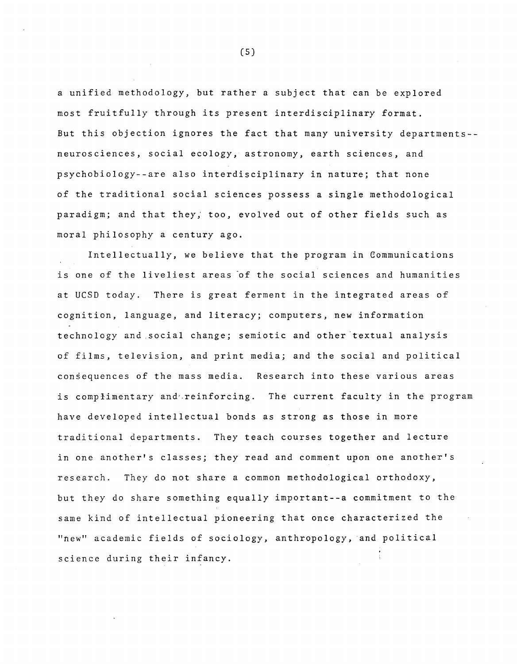a unified methodology, but rather a subject that can be explored most fruitfully through its present interdisciplinary format. But this objection ignores the fact that many university departments- neurosciences, social ecology, astronomy, earth sciences, and psychobiology--are also interdisciplinary in nature; that none of the traditional social sciences possess a single methodological paradigm; and that they; too, evolved out of other fields such as moral philosophy a century ago.

Intellectually, we believe that the program in Communications is one of the liveliest areas of the social sciences and humanities at UCSD today. There is great ferment in the integrated areas of cognition, language, and literacy; computers, new information technology and social change; semiotic and other textual analysis of films, television, and print media; and the social and political consequences of the mass media. Research into these various areas is complimentary and reinforcing. The current faculty in the program have developed intellectual bonds as strong as those in more traditional departments. They teach courses together and lecture in one another's classes; they read and comment upon one another's research. They do not share a common methodological orthodoxy, but they do share something equally important--a commitment to the same kind of intellectual pioneering that once characterized the "new" academic fields of sociology, anthropology, and political science during their infancy.

(S)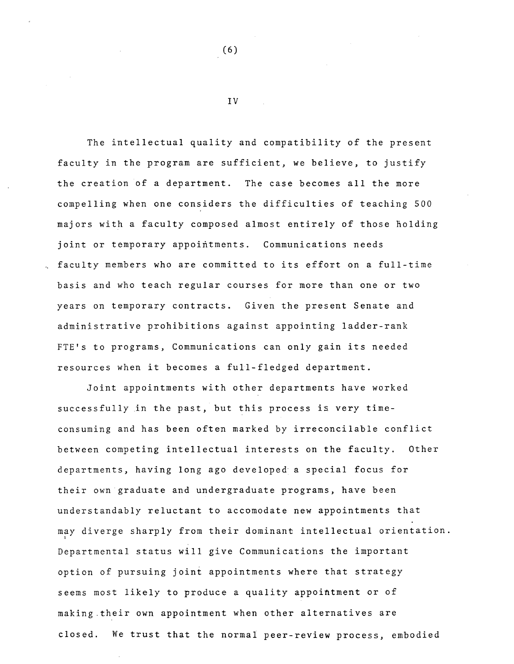The intellectual quality and compatibility of the present faculty in the program are sufficient, we believe, to justify the creation of a department. The case becomes all the more compelling when one considers the difficulties of teaching 500 majors with a faculty composed almost entirely of those holding joint or temporary appointments. Communications needs faculty members who are committed to its effort on a full-time basis and who teach regular courses for more than one or two years on temporary contracts. Given the present Senate and administrative prohibitions against appointing ladder-rank FTE's to programs, Communications can only gain its needed resources when it becomes a full-fledged department.

Joint appointments with other departments have worked successfully in the past, but this process is very timeconsuming and has been often marked by irreconcilable conflict between competing intellectual interests on the faculty. Other departments, having long ago developed a special focus for their own graduate and undergraduate programs, have been understandably reluctant to accomodate new appointments that may diverge sharply from their dominant intellectual orientation. Departmental status will give Communications the important option of pursuing joint appointments where that strategy seems most likely to produce a quality appointment or of making.their own appointment when other alternatives are closed. We trust that the normal peer-review process, embodied

(6)

IV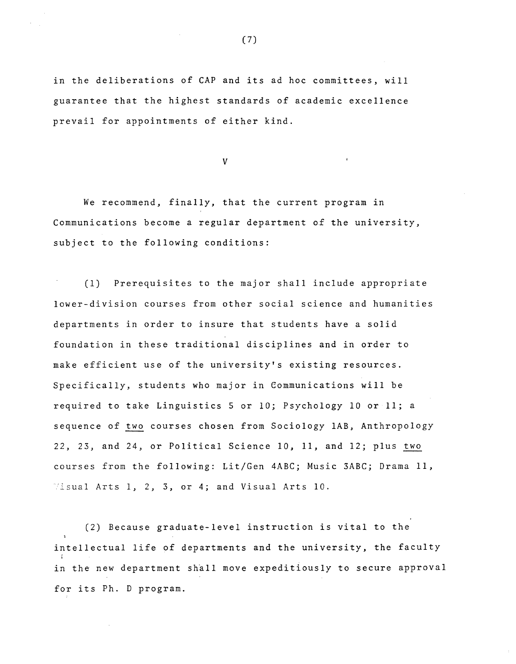in the deliberations of CAP and its ad hoc committees, will guarantee that the highest standards of academic excellence prevail for appointments of either kind.

V

We recommend, finally, that the current program in Communications become a regular department of the university, subject to the following conditions:

(1) Prerequisites to the major shall include appropriate lower-division courses from other social science and humanities departments in order to insure that students have a solid foundation in these traditional disciplines and in order to make efficient use of the university's existing resources. Specifically, students who major in Communications will be required to take Linguistics 5 or 10; Psychology 10 or 11; a sequence of two courses chosen from Sociology lAB, Anthropology 22, 23, and 24, or Political Science 10, 11, and 12; plus two courses from the following: Lit/Gen 4ABC; Music 3ABC; Drama 11, 'i.sual Arts 1, 2, 3, or 4; and Visual Arts 10.

(2) Because graduate-level instruction is vital to the intellectual life of departments and the university, the faculty in the new department shall move expeditiously to secure approval for its Ph. D program.